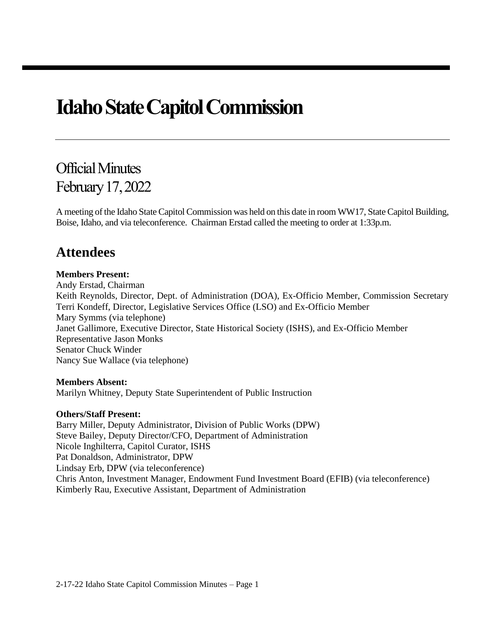# **Idaho State Capitol Commission**

## Official Minutes February 17, 2022

A meeting of the Idaho State Capitol Commission was held on this date in room WW17, State Capitol Building, Boise, Idaho, and via teleconference. Chairman Erstad called the meeting to order at 1:33p.m.

## **Attendees**

## **Members Present:**

Andy Erstad, Chairman Keith Reynolds, Director, Dept. of Administration (DOA), Ex-Officio Member, Commission Secretary Terri Kondeff, Director, Legislative Services Office (LSO) and Ex-Officio Member Mary Symms (via telephone) Janet Gallimore, Executive Director, State Historical Society (ISHS), and Ex-Officio Member Representative Jason Monks Senator Chuck Winder Nancy Sue Wallace (via telephone)

### **Members Absent:**

Marilyn Whitney, Deputy State Superintendent of Public Instruction

### **Others/Staff Present:**

Barry Miller, Deputy Administrator, Division of Public Works (DPW) Steve Bailey, Deputy Director/CFO, Department of Administration Nicole Inghilterra, Capitol Curator, ISHS Pat Donaldson, Administrator, DPW Lindsay Erb, DPW (via teleconference) Chris Anton, Investment Manager, Endowment Fund Investment Board (EFIB) (via teleconference) Kimberly Rau, Executive Assistant, Department of Administration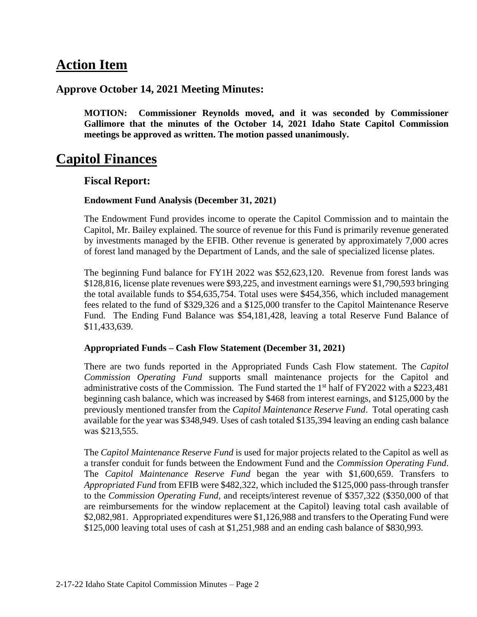## **Action Item**

## **Approve October 14, 2021 Meeting Minutes:**

**MOTION: Commissioner Reynolds moved, and it was seconded by Commissioner Gallimore that the minutes of the October 14, 2021 Idaho State Capitol Commission meetings be approved as written. The motion passed unanimously.**

## **Capitol Finances**

## **Fiscal Report:**

## **Endowment Fund Analysis (December 31, 2021)**

The Endowment Fund provides income to operate the Capitol Commission and to maintain the Capitol, Mr. Bailey explained. The source of revenue for this Fund is primarily revenue generated by investments managed by the EFIB. Other revenue is generated by approximately 7,000 acres of forest land managed by the Department of Lands, and the sale of specialized license plates.

The beginning Fund balance for FY1H 2022 was \$52,623,120. Revenue from forest lands was \$128,816, license plate revenues were \$93,225, and investment earnings were \$1,790,593 bringing the total available funds to \$54,635,754. Total uses were \$454,356, which included management fees related to the fund of \$329,326 and a \$125,000 transfer to the Capitol Maintenance Reserve Fund. The Ending Fund Balance was \$54,181,428, leaving a total Reserve Fund Balance of \$11,433,639.

### **Appropriated Funds – Cash Flow Statement (December 31, 2021)**

There are two funds reported in the Appropriated Funds Cash Flow statement. The *Capitol Commission Operating Fund* supports small maintenance projects for the Capitol and administrative costs of the Commission. The Fund started the 1<sup>st</sup> half of FY2022 with a \$223,481 beginning cash balance, which was increased by \$468 from interest earnings, and \$125,000 by the previously mentioned transfer from the *Capitol Maintenance Reserve Fund*. Total operating cash available for the year was \$348,949. Uses of cash totaled \$135,394 leaving an ending cash balance was \$213,555.

The *Capitol Maintenance Reserve Fund* is used for major projects related to the Capitol as well as a transfer conduit for funds between the Endowment Fund and the *Commission Operating Fund*. The *Capitol Maintenance Reserve Fund* began the year with \$1,600,659. Transfers to *Appropriated Fund* from EFIB were \$482,322, which included the \$125,000 pass-through transfer to the *Commission Operating Fund,* and receipts/interest revenue of \$357,322 (\$350,000 of that are reimbursements for the window replacement at the Capitol) leaving total cash available of \$2,082,981. Appropriated expenditures were \$1,126,988 and transfers to the Operating Fund were \$125,000 leaving total uses of cash at \$1,251,988 and an ending cash balance of \$830,993.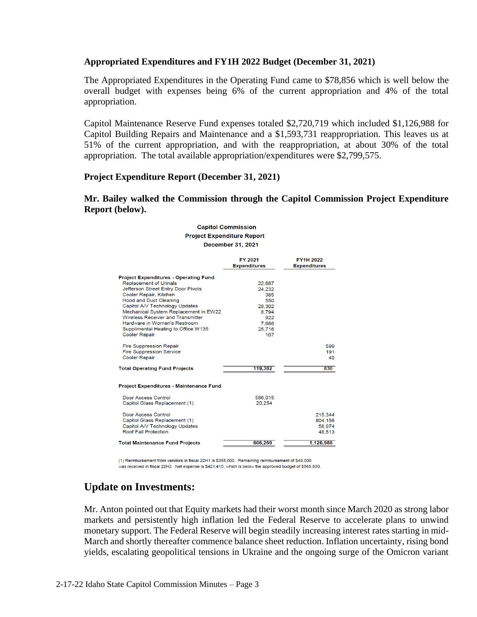### **Appropriated Expenditures and FY1H 2022 Budget (December 31, 2021)**

The Appropriated Expenditures in the Operating Fund came to \$78,856 which is well below the overall budget with expenses being 6% of the current appropriation and 4% of the total appropriation.

Capitol Maintenance Reserve Fund expenses totaled \$2,720,719 which included \$1,126,988 for Capitol Building Repairs and Maintenance and a \$1,593,731 reappropriation. This leaves us at 51% of the current appropriation, and with the reappropriation, at about 30% of the total appropriation. The total available appropriation/expenditures were \$2,799,575.

### **Project Expenditure Report (December 31, 2021)**

### **Mr. Bailey walked the Commission through the Capitol Commission Project Expenditure Report (below).**

#### **Capitol Commission Project Expenditure Report December 31, 2021**

|                                              | FY 2021<br><b>Expenditures</b> | <b>FY1H 2022</b><br><b>Expenditures</b> |  |
|----------------------------------------------|--------------------------------|-----------------------------------------|--|
| <b>Project Expenditures - Operating Fund</b> |                                |                                         |  |
| <b>Replacement of Urinals</b>                | 22,687                         |                                         |  |
| Jefferson Street Entry Door Pivots           | 24.232                         |                                         |  |
| Cooler Repair, Kitchen                       | 385                            |                                         |  |
| <b>Hood and Duct Cleaning</b>                | 550                            |                                         |  |
| Capitol A/V Technology Updates               | 28,302                         |                                         |  |
| Mechanical System Replacement in EW22        | 8.794                          |                                         |  |
| <b>Wireless Receiver and Transmitter</b>     | 922                            |                                         |  |
| Hardware in Women's Restroom                 | 7,686                          |                                         |  |
| Supplimental Heating to Office W135          | 25.716                         |                                         |  |
| <b>Cooler Repair</b>                         | 107                            |                                         |  |
| <b>Fire Suppression Repair</b>               |                                | 599                                     |  |
| <b>Fire Suppression Service</b>              |                                | 191                                     |  |
| <b>Cooler Repair</b>                         |                                | 40                                      |  |
| <b>Total Operating Fund Projects</b>         | 119,382                        | 830                                     |  |
| Project Expenditures - Maintenance Fund      |                                |                                         |  |
| Door Access Control                          | 586,015                        |                                         |  |
| Capitol Glass Replacement (1)                | 20,254                         |                                         |  |
| Door Access Control                          |                                | 215,344                                 |  |
| Capitol Glass Replacement (1)                |                                | 804.156                                 |  |
| Capitol A/V Technology Updates               |                                | 58.974                                  |  |
| <b>Roof Fall Protection</b>                  |                                | 48.513                                  |  |
| <b>Total Maintenance Fund Projects</b>       | 606.269                        | 1,126,988                               |  |
|                                              |                                |                                         |  |

(1) Reimbursement from vendors in fiscal 22H1 is \$355,000. Remaining reimbursement of \$48,000 was received in fiscal 22H2. Net expense is \$421,410, which is below the approved budget of \$565,800.

## **Update on Investments:**

Mr. Anton pointed out that Equity markets had their worst month since March 2020 as strong labor markets and persistently high inflation led the Federal Reserve to accelerate plans to unwind monetary support. The Federal Reserve will begin steadily increasing interest rates starting in mid-March and shortly thereafter commence balance sheet reduction. Inflation uncertainty, rising bond yields, escalating geopolitical tensions in Ukraine and the ongoing surge of the Omicron variant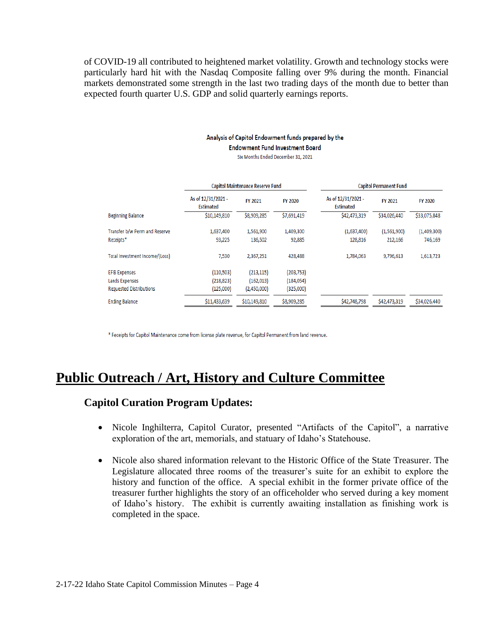of COVID-19 all contributed to heightened market volatility. Growth and technology stocks were particularly hard hit with the Nasdaq Composite falling over 9% during the month. Financial markets demonstrated some strength in the last two trading days of the month due to better than expected fourth quarter U.S. GDP and solid quarterly earnings reports.

### Analysis of Capitol Endowment funds prepared by the

**Endowment Fund Investment Board** 

Six Months Ended December 31, 2021

|                                | Capitol Maintenance Reserve Fund       |              |                | <b>Capitol Permanent Fund</b>          |              |              |
|--------------------------------|----------------------------------------|--------------|----------------|----------------------------------------|--------------|--------------|
|                                | As of 12/31/2021 -<br><b>Estimated</b> | FY 2021      | <b>FY 2020</b> | As of 12/31/2021 -<br><b>Estimated</b> | FY 2021      | FY 2020      |
| <b>Beginning Balance</b>       | \$10,149,810                           | \$8,909,285  | \$7,691,419    | \$42,473,319                           | \$34,026,440 | \$33,075,848 |
| Transfer b/w Perm and Reserve  | 1,637,400                              | 1,561,900    | 1,409,300      | (1,637,400)                            | (1,561,900)  | (1,409,300)  |
| Receipts*                      | 93,225                                 | 136,502      | 92,885         | 128,816                                | 212,166      | 746,169      |
| Total Investment Income/(Loss) | 7,530                                  | 2,367,251    | 428,488        | 1,784,063                              | 9,796,613    | 1,613,723    |
| <b>EFIB Expenses</b>           | (110, 503)                             | (213, 115)   | (203, 753)     |                                        |              |              |
| Lands Expenses                 | (218, 823)                             | (162, 013)   | (184, 054)     |                                        |              |              |
| <b>Requested Distributions</b> | (125,000)                              | (2,450,000)  | (325,000)      |                                        |              |              |
| <b>Ending Balance</b>          | \$11,433,639                           | \$10,149,810 | \$8,909,285    | \$42,748,798                           | \$42,473,319 | \$34,026,440 |

\* Receipts for Capitol Maintenance come from license plate revenue, for Capitol Permanent from land revenue.

## **Public Outreach / Art, History and Culture Committee**

## **Capitol Curation Program Updates:**

- Nicole Inghilterra, Capitol Curator, presented "Artifacts of the Capitol", a narrative exploration of the art, memorials, and statuary of Idaho's Statehouse.
- Nicole also shared information relevant to the Historic Office of the State Treasurer. The Legislature allocated three rooms of the treasurer's suite for an exhibit to explore the history and function of the office. A special exhibit in the former private office of the treasurer further highlights the story of an officeholder who served during a key moment of Idaho's history. The exhibit is currently awaiting installation as finishing work is completed in the space.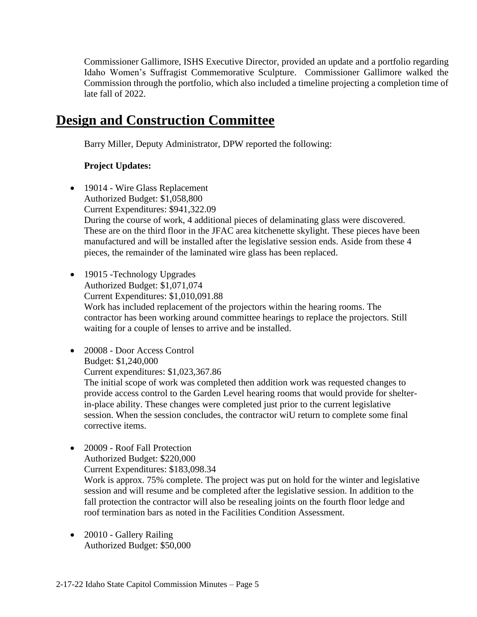Commissioner Gallimore, ISHS Executive Director, provided an update and a portfolio regarding Idaho Women's Suffragist Commemorative Sculpture. Commissioner Gallimore walked the Commission through the portfolio, which also included a timeline projecting a completion time of late fall of 2022.

## **Design and Construction Committee**

Barry Miller, Deputy Administrator, DPW reported the following:

## **Project Updates:**

- 19014 Wire Glass Replacement Authorized Budget: \$1,058,800 Current Expenditures: \$941,322.09 During the course of work, 4 additional pieces of delaminating glass were discovered. These are on the third floor in the JFAC area kitchenette skylight. These pieces have been manufactured and will be installed after the legislative session ends. Aside from these 4 pieces, the remainder of the laminated wire glass has been replaced.
- 19015 Technology Upgrades Authorized Budget: \$1,071,074 Current Expenditures: \$1,010,091.88 Work has included replacement of the projectors within the hearing rooms. The contractor has been working around committee hearings to replace the projectors. Still waiting for a couple of lenses to arrive and be installed.
- 20008 Door Access Control Budget: \$1,240,000 Current expenditures: \$1,023,367.86

The initial scope of work was completed then addition work was requested changes to provide access control to the Garden Level hearing rooms that would provide for shelterin-place ability. These changes were completed just prior to the current legislative session. When the session concludes, the contractor wiU return to complete some final corrective items.

• 20009 - Roof Fall Protection Authorized Budget: \$220,000 Current Expenditures: \$183,098.34

Work is approx. 75% complete. The project was put on hold for the winter and legislative session and will resume and be completed after the legislative session. In addition to the fall protection the contractor will also be resealing joints on the fourth floor ledge and roof termination bars as noted in the Facilities Condition Assessment.

• 20010 - Gallery Railing Authorized Budget: \$50,000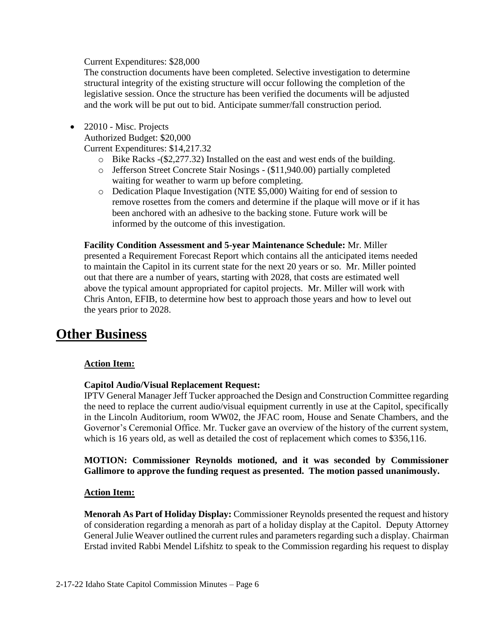Current Expenditures: \$28,000

The construction documents have been completed. Selective investigation to determine structural integrity of the existing structure will occur following the completion of the legislative session. Once the structure has been verified the documents will be adjusted and the work will be put out to bid. Anticipate summer/fall construction period.

- 22010 Misc. Projects Authorized Budget: \$20,000 Current Expenditures: \$14,217.32
	- o Bike Racks -(\$2,277.32) Installed on the east and west ends of the building.
	- o Jefferson Street Concrete Stair Nosings (\$11,940.00) partially completed waiting for weather to warm up before completing.
	- o Dedication Plaque Investigation (NTE \$5,000) Waiting for end of session to remove rosettes from the comers and determine if the plaque will move or if it has been anchored with an adhesive to the backing stone. Future work will be informed by the outcome of this investigation.

**Facility Condition Assessment and 5-year Maintenance Schedule:** Mr. Miller presented a Requirement Forecast Report which contains all the anticipated items needed to maintain the Capitol in its current state for the next 20 years or so. Mr. Miller pointed out that there are a number of years, starting with 2028, that costs are estimated well above the typical amount appropriated for capitol projects. Mr. Miller will work with Chris Anton, EFIB, to determine how best to approach those years and how to level out the years prior to 2028.

## **Other Business**

## **Action Item:**

## **Capitol Audio/Visual Replacement Request:**

IPTV General Manager Jeff Tucker approached the Design and Construction Committee regarding the need to replace the current audio/visual equipment currently in use at the Capitol, specifically in the Lincoln Auditorium, room WW02, the JFAC room, House and Senate Chambers, and the Governor's Ceremonial Office. Mr. Tucker gave an overview of the history of the current system, which is 16 years old, as well as detailed the cost of replacement which comes to \$356,116.

### **MOTION: Commissioner Reynolds motioned, and it was seconded by Commissioner Gallimore to approve the funding request as presented. The motion passed unanimously.**

## **Action Item:**

**Menorah As Part of Holiday Display:** Commissioner Reynolds presented the request and history of consideration regarding a menorah as part of a holiday display at the Capitol. Deputy Attorney General Julie Weaver outlined the current rules and parameters regarding such a display. Chairman Erstad invited Rabbi Mendel Lifshitz to speak to the Commission regarding his request to display